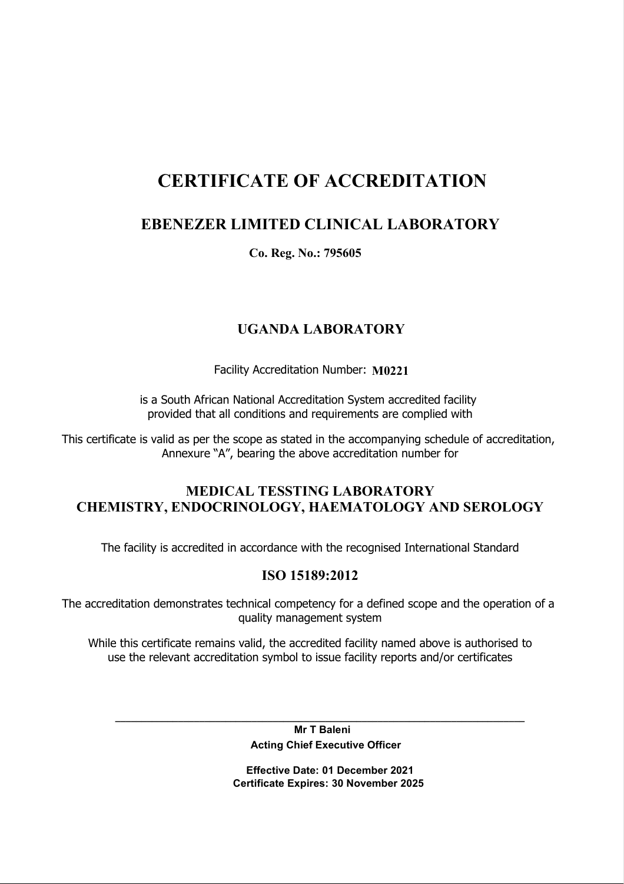# CERTIFICATE OF ACCREDITATION

# EBENEZER LIMITED CLINICAL LABORATORY

Co. Reg. No.: 795605

# UGANDA LABORATORY

Facility Accreditation Number: M0221

is a South African National Accreditation System accredited facility provided that all conditions and requirements are complied with

This certificate is valid as per the scope as stated in the accompanying schedule of accreditation, Annexure "A", bearing the above accreditation number for

## MEDICAL TESSTING LABORATORY CHEMISTRY, ENDOCRINOLOGY, HAEMATOLOGY AND SEROLOGY

The facility is accredited in accordance with the recognised International Standard

### ISO 15189:2012

The accreditation demonstrates technical competency for a defined scope and the operation of a quality management system

While this certificate remains valid, the accredited facility named above is authorised to use the relevant accreditation symbol to issue facility reports and/or certificates

> Mr T Baleni Acting Chief Executive Officer

\_\_\_\_\_\_\_\_\_\_\_\_\_\_\_\_\_\_\_\_\_\_\_\_\_\_\_\_\_\_\_\_\_\_\_\_\_\_\_\_\_\_\_\_\_\_\_\_\_\_\_\_\_\_\_\_\_\_\_\_\_\_\_\_\_\_\_\_\_\_\_\_\_\_\_\_\_\_

 Effective Date: 01 December 2021 Certificate Expires: 30 November 2025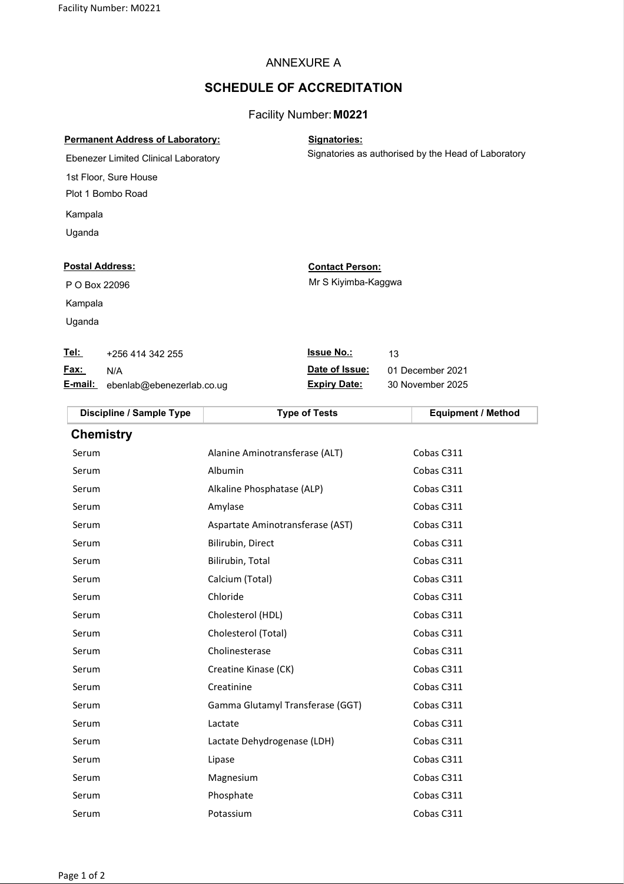#### ANNEXURE A

#### SCHEDULE OF ACCREDITATION

#### Facility Number: M0221

|  | <b>Permanent Address of Laboratory:</b> |  |
|--|-----------------------------------------|--|
|  |                                         |  |

Signatories:

Signatories as authorised by the Head of Laboratory

Ebenezer Limited Clinical Laboratory 1st Floor, Sure House Plot 1 Bombo Road Kampala

Uganda

Kampala Uganda

# P O Box 22096

#### Postal Address: Contact Person:

Mr S Kiyimba-Kaggwa

| <u>Tel:</u> | +256 414 342 255 | <b>Issue No.:</b>        | 13 |
|-------------|------------------|--------------------------|----|
|             | <b>Fax:</b> N/A  | <b>Date of Issue: 01</b> |    |

E-mail: ebenlab@ebenezerlab.co.ug Expiry Date: 30 November 2025

December 2021

| Discipline / Sample Type | <b>Type of Tests</b>             | <b>Equipment / Method</b> |
|--------------------------|----------------------------------|---------------------------|
| <b>Chemistry</b>         |                                  |                           |
| Serum                    | Alanine Aminotransferase (ALT)   | Cobas C311                |
| Serum                    | Albumin                          | Cobas C311                |
| Serum                    | Alkaline Phosphatase (ALP)       | Cobas C311                |
| Serum                    | Amylase                          | Cobas C311                |
| Serum                    | Aspartate Aminotransferase (AST) | Cobas C311                |
| Serum                    | Bilirubin, Direct                | Cobas C311                |
| Serum                    | Bilirubin, Total                 | Cobas C311                |
| Serum                    | Calcium (Total)                  | Cobas C311                |
| Serum                    | Chloride                         | Cobas C311                |
| Serum                    | Cholesterol (HDL)                | Cobas C311                |
| Serum                    | Cholesterol (Total)              | Cobas C311                |
| Serum                    | Cholinesterase                   | Cobas C311                |
| Serum                    | Creatine Kinase (CK)             | Cobas C311                |
| Serum                    | Creatinine                       | Cobas C311                |
| Serum                    | Gamma Glutamyl Transferase (GGT) | Cobas C311                |
| Serum                    | Lactate                          | Cobas C311                |

Serum Lactate Dehydrogenase (LDH) Cobas C311 Serum Cobas C311 Serum Magnesium Magnesium Cobas C311 Serum Phosphate **Phosphate** Cobas C311 Serum Potassium Cobas C311